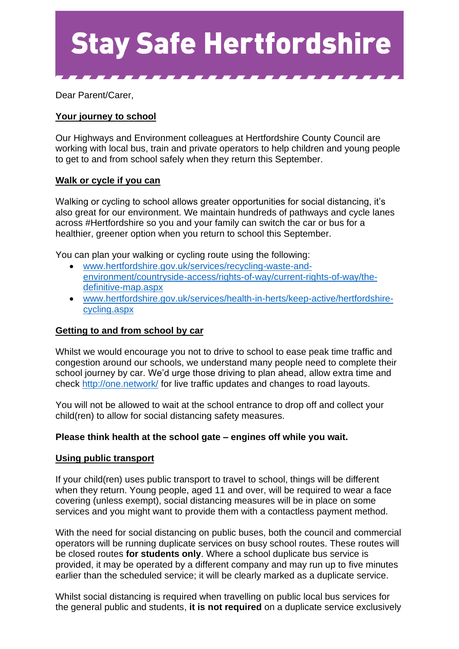

Dear Parent/Carer,

# **Your journey to school**

Our Highways and Environment colleagues at Hertfordshire County Council are working with local bus, train and private operators to help children and young people to get to and from school safely when they return this September.

## **Walk or cycle if you can**

Walking or cycling to school allows greater opportunities for social distancing, it's also great for our environment. We maintain hundreds of pathways and cycle lanes across #Hertfordshire so you and your family can switch the car or bus for a healthier, greener option when you return to school this September.

You can plan your walking or cycling route using the following:

- [www.hertfordshire.gov.uk/services/recycling-waste-and](http://www.hertfordshire.gov.uk/services/recycling-waste-and-environment/countryside-access/rights-of-way/current-rights-of-way/the-definitive-map.aspx)[environment/countryside-access/rights-of-way/current-rights-of-way/the](http://www.hertfordshire.gov.uk/services/recycling-waste-and-environment/countryside-access/rights-of-way/current-rights-of-way/the-definitive-map.aspx)[definitive-map.aspx](http://www.hertfordshire.gov.uk/services/recycling-waste-and-environment/countryside-access/rights-of-way/current-rights-of-way/the-definitive-map.aspx)
- [www.hertfordshire.gov.uk/services/health-in-herts/keep-active/hertfordshire](http://www.hertfordshire.gov.uk/services/health-in-herts/keep-active/hertfordshire-cycling.aspx)[cycling.aspx](http://www.hertfordshire.gov.uk/services/health-in-herts/keep-active/hertfordshire-cycling.aspx)

## **Getting to and from school by car**

Whilst we would encourage you not to drive to school to ease peak time traffic and congestion around our schools, we understand many people need to complete their school journey by car. We'd urge those driving to plan ahead, allow extra time and check<http://one.network/> for live traffic updates and changes to road layouts.

You will not be allowed to wait at the school entrance to drop off and collect your child(ren) to allow for social distancing safety measures.

## **Please think health at the school gate – engines off while you wait.**

#### **Using public transport**

If your child(ren) uses public transport to travel to school, things will be different when they return. Young people, aged 11 and over, will be required to wear a face covering (unless exempt), social distancing measures will be in place on some services and you might want to provide them with a contactless payment method.

With the need for social distancing on public buses, both the council and commercial operators will be running duplicate services on busy school routes. These routes will be closed routes **for students only**. Where a school duplicate bus service is provided, it may be operated by a different company and may run up to five minutes earlier than the scheduled service; it will be clearly marked as a duplicate service.

Whilst social distancing is required when travelling on public local bus services for the general public and students, **it is not required** on a duplicate service exclusively